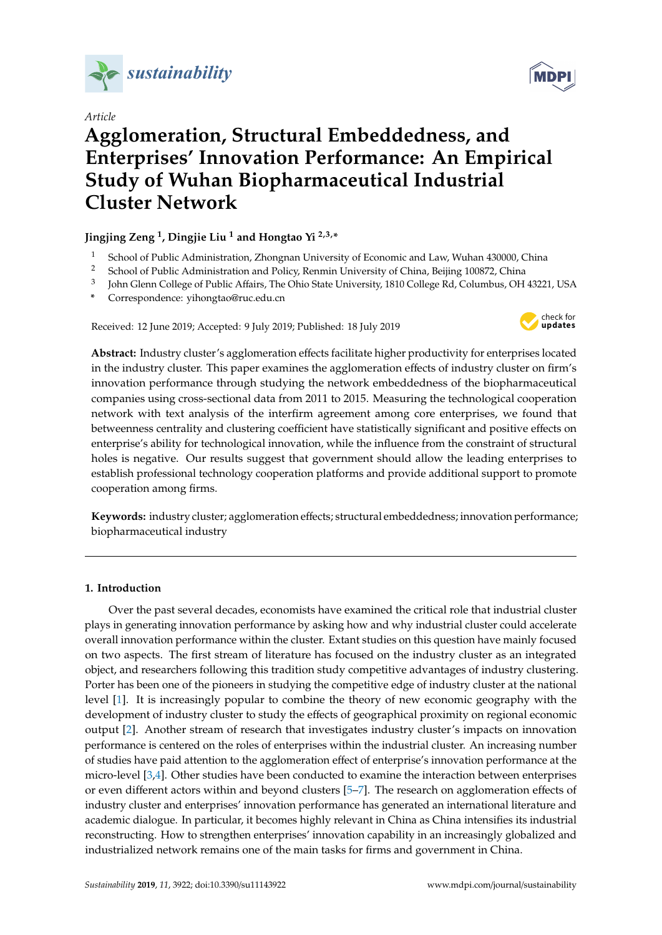

*Article*

# **Agglomeration, Structural Embeddedness, and Enterprises' Innovation Performance: An Empirical Study of Wuhan Biopharmaceutical Industrial Cluster Network**

## **Jingjing Zeng <sup>1</sup> , Dingjie Liu <sup>1</sup> and Hongtao Yi 2,3,\***

- <sup>1</sup> School of Public Administration, Zhongnan University of Economic and Law, Wuhan 430000, China<br><sup>2</sup> School of Public Administration and Poliny Parmin University of China Politica 199879. China
- <sup>2</sup> School of Public Administration and Policy, Renmin University of China, Beijing 100872, China
- 3 John Glenn College of Public Affairs, The Ohio State University, 1810 College Rd, Columbus, OH 43221, USA
- **\*** Correspondence: yihongtao@ruc.edu.cn

Received: 12 June 2019; Accepted: 9 July 2019; Published: 18 July 2019



**Abstract:** Industry cluster's agglomeration effects facilitate higher productivity for enterprises located in the industry cluster. This paper examines the agglomeration effects of industry cluster on firm's innovation performance through studying the network embeddedness of the biopharmaceutical companies using cross-sectional data from 2011 to 2015. Measuring the technological cooperation network with text analysis of the interfirm agreement among core enterprises, we found that betweenness centrality and clustering coefficient have statistically significant and positive effects on enterprise's ability for technological innovation, while the influence from the constraint of structural holes is negative. Our results suggest that government should allow the leading enterprises to establish professional technology cooperation platforms and provide additional support to promote cooperation among firms.

**Keywords:** industry cluster; agglomeration effects; structural embeddedness; innovation performance; biopharmaceutical industry

## **1. Introduction**

Over the past several decades, economists have examined the critical role that industrial cluster plays in generating innovation performance by asking how and why industrial cluster could accelerate overall innovation performance within the cluster. Extant studies on this question have mainly focused on two aspects. The first stream of literature has focused on the industry cluster as an integrated object, and researchers following this tradition study competitive advantages of industry clustering. Porter has been one of the pioneers in studying the competitive edge of industry cluster at the national level [\[1\]](#page-12-0). It is increasingly popular to combine the theory of new economic geography with the development of industry cluster to study the effects of geographical proximity on regional economic output [\[2\]](#page-12-1). Another stream of research that investigates industry cluster's impacts on innovation performance is centered on the roles of enterprises within the industrial cluster. An increasing number of studies have paid attention to the agglomeration effect of enterprise's innovation performance at the micro-level [\[3,](#page-12-2)[4\]](#page-12-3). Other studies have been conducted to examine the interaction between enterprises or even different actors within and beyond clusters [\[5](#page-12-4)[–7\]](#page-13-0). The research on agglomeration effects of industry cluster and enterprises' innovation performance has generated an international literature and academic dialogue. In particular, it becomes highly relevant in China as China intensifies its industrial reconstructing. How to strengthen enterprises' innovation capability in an increasingly globalized and industrialized network remains one of the main tasks for firms and government in China.

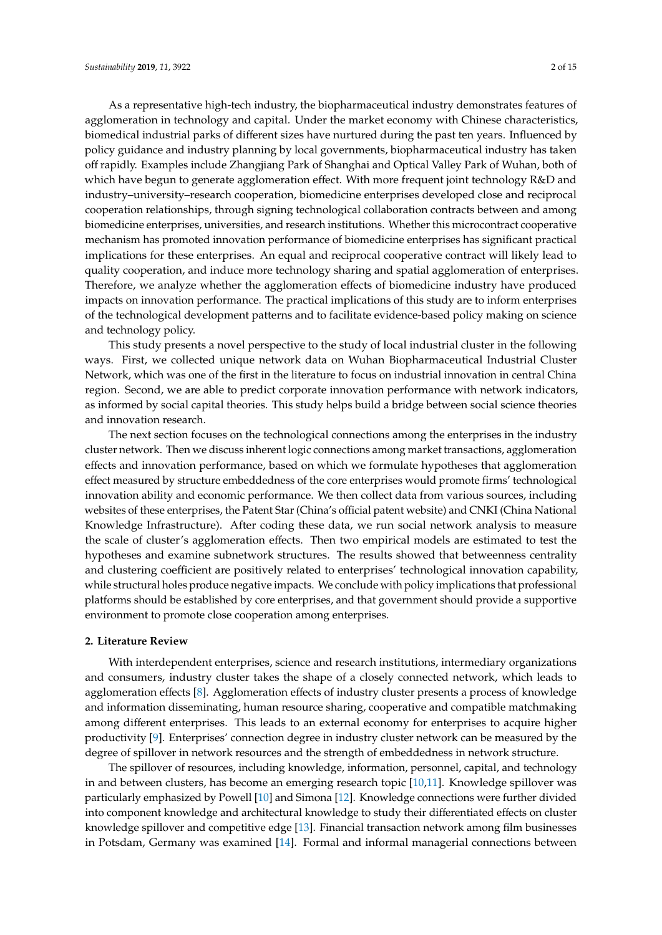As a representative high-tech industry, the biopharmaceutical industry demonstrates features of agglomeration in technology and capital. Under the market economy with Chinese characteristics, biomedical industrial parks of different sizes have nurtured during the past ten years. Influenced by policy guidance and industry planning by local governments, biopharmaceutical industry has taken off rapidly. Examples include Zhangjiang Park of Shanghai and Optical Valley Park of Wuhan, both of which have begun to generate agglomeration effect. With more frequent joint technology R&D and industry–university–research cooperation, biomedicine enterprises developed close and reciprocal cooperation relationships, through signing technological collaboration contracts between and among biomedicine enterprises, universities, and research institutions. Whether this microcontract cooperative mechanism has promoted innovation performance of biomedicine enterprises has significant practical implications for these enterprises. An equal and reciprocal cooperative contract will likely lead to quality cooperation, and induce more technology sharing and spatial agglomeration of enterprises. Therefore, we analyze whether the agglomeration effects of biomedicine industry have produced impacts on innovation performance. The practical implications of this study are to inform enterprises of the technological development patterns and to facilitate evidence-based policy making on science and technology policy.

This study presents a novel perspective to the study of local industrial cluster in the following ways. First, we collected unique network data on Wuhan Biopharmaceutical Industrial Cluster Network, which was one of the first in the literature to focus on industrial innovation in central China region. Second, we are able to predict corporate innovation performance with network indicators, as informed by social capital theories. This study helps build a bridge between social science theories and innovation research.

The next section focuses on the technological connections among the enterprises in the industry cluster network. Then we discuss inherent logic connections among market transactions, agglomeration effects and innovation performance, based on which we formulate hypotheses that agglomeration effect measured by structure embeddedness of the core enterprises would promote firms' technological innovation ability and economic performance. We then collect data from various sources, including websites of these enterprises, the Patent Star (China's official patent website) and CNKI (China National Knowledge Infrastructure). After coding these data, we run social network analysis to measure the scale of cluster's agglomeration effects. Then two empirical models are estimated to test the hypotheses and examine subnetwork structures. The results showed that betweenness centrality and clustering coefficient are positively related to enterprises' technological innovation capability, while structural holes produce negative impacts. We conclude with policy implications that professional platforms should be established by core enterprises, and that government should provide a supportive environment to promote close cooperation among enterprises.

#### **2. Literature Review**

With interdependent enterprises, science and research institutions, intermediary organizations and consumers, industry cluster takes the shape of a closely connected network, which leads to agglomeration effects [\[8\]](#page-13-1). Agglomeration effects of industry cluster presents a process of knowledge and information disseminating, human resource sharing, cooperative and compatible matchmaking among different enterprises. This leads to an external economy for enterprises to acquire higher productivity [\[9\]](#page-13-2). Enterprises' connection degree in industry cluster network can be measured by the degree of spillover in network resources and the strength of embeddedness in network structure.

The spillover of resources, including knowledge, information, personnel, capital, and technology in and between clusters, has become an emerging research topic [\[10](#page-13-3)[,11\]](#page-13-4). Knowledge spillover was particularly emphasized by Powell [\[10\]](#page-13-3) and Simona [\[12\]](#page-13-5). Knowledge connections were further divided into component knowledge and architectural knowledge to study their differentiated effects on cluster knowledge spillover and competitive edge [\[13\]](#page-13-6). Financial transaction network among film businesses in Potsdam, Germany was examined [\[14\]](#page-13-7). Formal and informal managerial connections between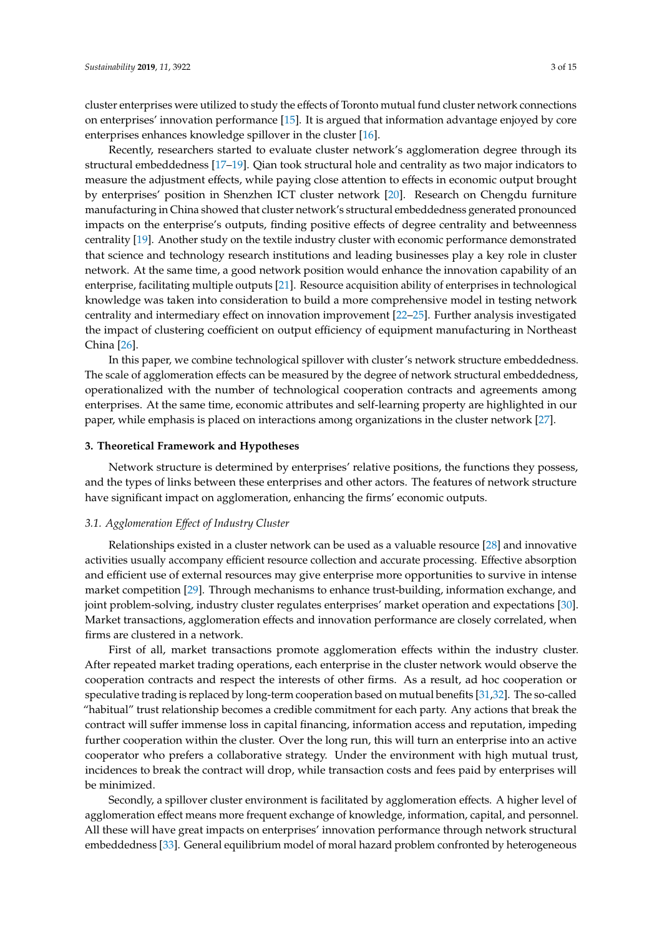cluster enterprises were utilized to study the effects of Toronto mutual fund cluster network connections on enterprises' innovation performance [\[15\]](#page-13-8). It is argued that information advantage enjoyed by core enterprises enhances knowledge spillover in the cluster [\[16\]](#page-13-9).

Recently, researchers started to evaluate cluster network's agglomeration degree through its structural embeddedness [\[17–](#page-13-10)[19\]](#page-13-11). Qian took structural hole and centrality as two major indicators to measure the adjustment effects, while paying close attention to effects in economic output brought by enterprises' position in Shenzhen ICT cluster network [\[20\]](#page-13-12). Research on Chengdu furniture manufacturing in China showed that cluster network's structural embeddedness generated pronounced impacts on the enterprise's outputs, finding positive effects of degree centrality and betweenness centrality [\[19\]](#page-13-11). Another study on the textile industry cluster with economic performance demonstrated that science and technology research institutions and leading businesses play a key role in cluster network. At the same time, a good network position would enhance the innovation capability of an enterprise, facilitating multiple outputs [\[21\]](#page-13-13). Resource acquisition ability of enterprises in technological knowledge was taken into consideration to build a more comprehensive model in testing network centrality and intermediary effect on innovation improvement [\[22](#page-13-14)[–25\]](#page-13-15). Further analysis investigated the impact of clustering coefficient on output efficiency of equipment manufacturing in Northeast China [\[26\]](#page-13-16).

In this paper, we combine technological spillover with cluster's network structure embeddedness. The scale of agglomeration effects can be measured by the degree of network structural embeddedness, operationalized with the number of technological cooperation contracts and agreements among enterprises. At the same time, economic attributes and self-learning property are highlighted in our paper, while emphasis is placed on interactions among organizations in the cluster network [\[27\]](#page-13-17).

#### **3. Theoretical Framework and Hypotheses**

Network structure is determined by enterprises' relative positions, the functions they possess, and the types of links between these enterprises and other actors. The features of network structure have significant impact on agglomeration, enhancing the firms' economic outputs.

#### *3.1. Agglomeration E*ff*ect of Industry Cluster*

Relationships existed in a cluster network can be used as a valuable resource [\[28\]](#page-13-18) and innovative activities usually accompany efficient resource collection and accurate processing. Effective absorption and efficient use of external resources may give enterprise more opportunities to survive in intense market competition [\[29\]](#page-13-19). Through mechanisms to enhance trust-building, information exchange, and joint problem-solving, industry cluster regulates enterprises' market operation and expectations [\[30\]](#page-13-20). Market transactions, agglomeration effects and innovation performance are closely correlated, when firms are clustered in a network.

First of all, market transactions promote agglomeration effects within the industry cluster. After repeated market trading operations, each enterprise in the cluster network would observe the cooperation contracts and respect the interests of other firms. As a result, ad hoc cooperation or speculative trading is replaced by long-term cooperation based on mutual benefits [\[31](#page-13-21)[,32\]](#page-13-22). The so-called "habitual" trust relationship becomes a credible commitment for each party. Any actions that break the contract will suffer immense loss in capital financing, information access and reputation, impeding further cooperation within the cluster. Over the long run, this will turn an enterprise into an active cooperator who prefers a collaborative strategy. Under the environment with high mutual trust, incidences to break the contract will drop, while transaction costs and fees paid by enterprises will be minimized.

Secondly, a spillover cluster environment is facilitated by agglomeration effects. A higher level of agglomeration effect means more frequent exchange of knowledge, information, capital, and personnel. All these will have great impacts on enterprises' innovation performance through network structural embeddedness [\[33\]](#page-14-0). General equilibrium model of moral hazard problem confronted by heterogeneous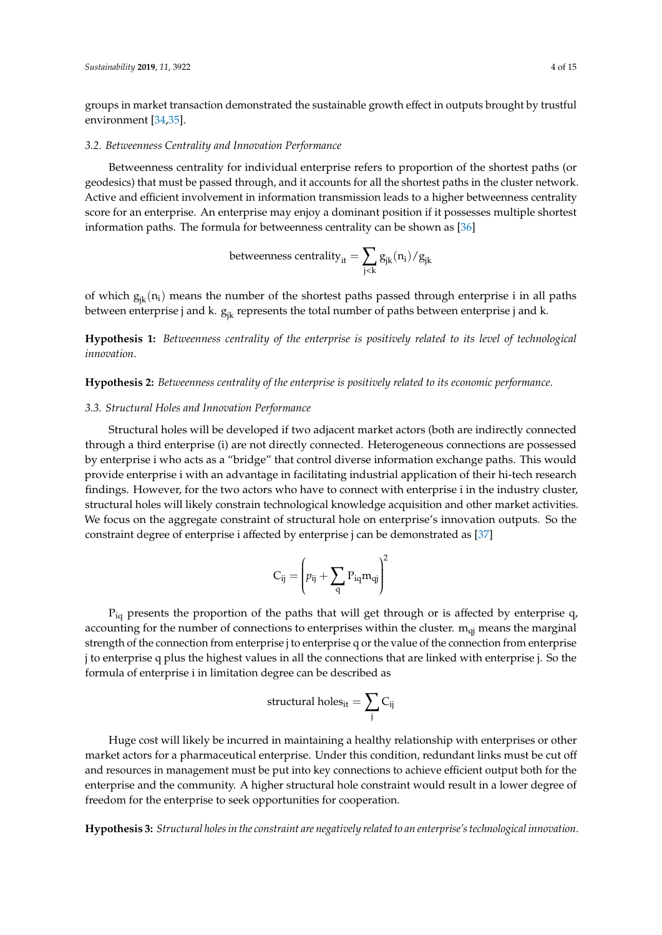groups in market transaction demonstrated the sustainable growth effect in outputs brought by trustful environment [\[34,](#page-14-1)[35\]](#page-14-2).

#### *3.2. Betweenness Centrality and Innovation Performance*

Betweenness centrality for individual enterprise refers to proportion of the shortest paths (or geodesics) that must be passed through, and it accounts for all the shortest paths in the cluster network. Active and efficient involvement in information transmission leads to a higher betweenness centrality score for an enterprise. An enterprise may enjoy a dominant position if it possesses multiple shortest information paths. The formula for betweenness centrality can be shown as [\[36\]](#page-14-3)

$$
betweenness\ centrality_{it}=\sum_{j < k}g_{jk}(n_i)/g_{jk}
$$

of which  $g_{ik}(n_i)$  means the number of the shortest paths passed through enterprise i in all paths between enterprise j and k.  $g_{ik}$  represents the total number of paths between enterprise j and k.

**Hypothesis 1:** *Betweenness centrality of the enterprise is positively related to its level of technological innovation*.

#### **Hypothesis 2:** *Betweenness centrality of the enterprise is positively related to its economic performance*.

#### *3.3. Structural Holes and Innovation Performance*

Structural holes will be developed if two adjacent market actors (both are indirectly connected through a third enterprise (i) are not directly connected. Heterogeneous connections are possessed by enterprise i who acts as a "bridge" that control diverse information exchange paths. This would provide enterprise i with an advantage in facilitating industrial application of their hi-tech research findings. However, for the two actors who have to connect with enterprise i in the industry cluster, structural holes will likely constrain technological knowledge acquisition and other market activities. We focus on the aggregate constraint of structural hole on enterprise's innovation outputs. So the constraint degree of enterprise i affected by enterprise j can be demonstrated as [\[37\]](#page-14-4)

$$
C_{ij} = \left(p_{ij} + \sum_q P_{iq} m_{qj}\right)^2
$$

 $P_{iq}$  presents the proportion of the paths that will get through or is affected by enterprise q, accounting for the number of connections to enterprises within the cluster.  $m_{qi}$  means the marginal strength of the connection from enterprise j to enterprise q or the value of the connection from enterprise j to enterprise q plus the highest values in all the connections that are linked with enterprise j. So the formula of enterprise i in limitation degree can be described as

$$
structural \; holes_{it} = \sum_j C_{ij}
$$

Huge cost will likely be incurred in maintaining a healthy relationship with enterprises or other market actors for a pharmaceutical enterprise. Under this condition, redundant links must be cut off and resources in management must be put into key connections to achieve efficient output both for the enterprise and the community. A higher structural hole constraint would result in a lower degree of freedom for the enterprise to seek opportunities for cooperation.

**Hypothesis 3:** *Structural holes in the constraint are negatively related to an enterprise's technological innovation*.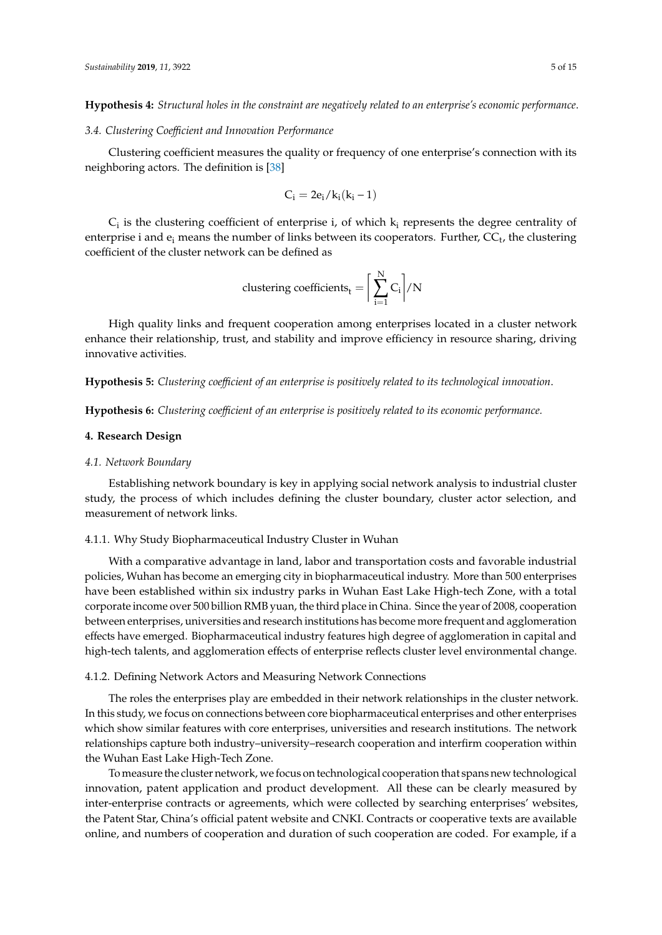**Hypothesis 4:** *Structural holes in the constraint are negatively related to an enterprise's economic performance*.

#### *3.4. Clustering Coe*ffi*cient and Innovation Performance*

Clustering coefficient measures the quality or frequency of one enterprise's connection with its neighboring actors. The definition is [\[38\]](#page-14-5)

$$
C_i=2e_i/k_i(k_i\!-\!1)
$$

 $C_i$  is the clustering coefficient of enterprise i, of which  $k_i$  represents the degree centrality of enterprise i and  $e_i$  means the number of links between its cooperators. Further,  $CC_t$ , the clustering coefficient of the cluster network can be defined as

clustering coefficients<sub>t</sub> = 
$$
\left[\sum_{i=1}^{N} C_i\right] / N
$$

High quality links and frequent cooperation among enterprises located in a cluster network enhance their relationship, trust, and stability and improve efficiency in resource sharing, driving innovative activities.

**Hypothesis 5:** *Clustering coe*ffi*cient of an enterprise is positively related to its technological innovation*.

**Hypothesis 6:** *Clustering coe*ffi*cient of an enterprise is positively related to its economic performance.*

#### **4. Research Design**

#### *4.1. Network Boundary*

Establishing network boundary is key in applying social network analysis to industrial cluster study, the process of which includes defining the cluster boundary, cluster actor selection, and measurement of network links.

## 4.1.1. Why Study Biopharmaceutical Industry Cluster in Wuhan

With a comparative advantage in land, labor and transportation costs and favorable industrial policies, Wuhan has become an emerging city in biopharmaceutical industry. More than 500 enterprises have been established within six industry parks in Wuhan East Lake High-tech Zone, with a total corporate income over 500 billion RMB yuan, the third place in China. Since the year of 2008, cooperation between enterprises, universities and research institutions has become more frequent and agglomeration effects have emerged. Biopharmaceutical industry features high degree of agglomeration in capital and high-tech talents, and agglomeration effects of enterprise reflects cluster level environmental change.

#### 4.1.2. Defining Network Actors and Measuring Network Connections

The roles the enterprises play are embedded in their network relationships in the cluster network. In this study, we focus on connections between core biopharmaceutical enterprises and other enterprises which show similar features with core enterprises, universities and research institutions. The network relationships capture both industry–university–research cooperation and interfirm cooperation within the Wuhan East Lake High-Tech Zone.

To measure the cluster network, we focus on technological cooperation that spans new technological innovation, patent application and product development. All these can be clearly measured by inter-enterprise contracts or agreements, which were collected by searching enterprises' websites, the Patent Star, China's official patent website and CNKI. Contracts or cooperative texts are available online, and numbers of cooperation and duration of such cooperation are coded. For example, if a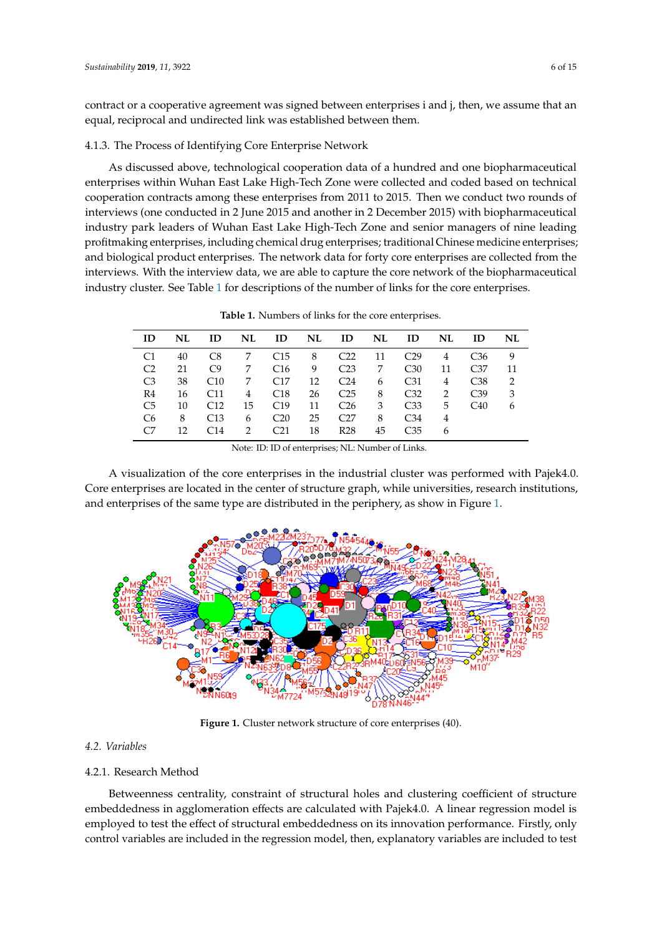contract or a cooperative agreement was signed between enterprises i and j, then, we assume that an equal, reciprocal and undirected link was established between them.

4.1.3. The Process of Identifying Core Enterprise Network  $\mathcal{L}$  discussed above, technological cooperation data of a hundred and one biomharmaceutical cooperation data of a hundred and one biomharmaceutical cooperation data of a hundred and one biomharmaceutical cooperation d

As discussed above, technological cooperation data of a hundred and one biopharmaceutical enterprises within Wuhan East Lake High-Tech Zone were collected and coded based on technical cooperation contracts among these enterprises from 2011 to 2015. Then we conduct two rounds of interviews (one conducted in 2 June 2015 and another in 2 December 2015) with biopharmaceutical industry park leaders of Wuhan East Lake High-Tech Zone and senior managers of nine leading profitmaking enterprises, including chemical drug enterprises; traditional Chinese medicine enterprises; and biological product enterprises. The network data for forty core enterprises are collected from the interviews. With the interview data, we are able to capture the core network of the biopharmaceutical industry cluster. See Table [1](#page-5-0) for descriptions of the number of links for the core enterprises.

<span id="page-5-0"></span>

| ID             | NL | ID              | NL. | ID              | NL. | ID              | NL | ID              | NL | ID              | NL |
|----------------|----|-----------------|-----|-----------------|-----|-----------------|----|-----------------|----|-----------------|----|
| C <sub>1</sub> | 40 | C8              | 7   | C <sub>15</sub> | 8   | C <sub>22</sub> | 11 | C <sub>29</sub> | 4  | C <sub>36</sub> | 9  |
| C <sub>2</sub> | 21 | C9              | 7   | C16             | 9   | C <sub>23</sub> | 7  | C <sub>30</sub> | 11 | C <sub>37</sub> | 11 |
| C <sub>3</sub> | 38 | C10             | 7   | C17             | 12  | C <sub>24</sub> | 6  | C <sub>31</sub> | 4  | C <sub>38</sub> |    |
| R4             | 16 | C <sub>11</sub> | 4   | C18             | 26  | C <sub>25</sub> | 8  | C <sub>32</sub> | 2  | C <sub>39</sub> | 3  |
| C <sub>5</sub> | 10 | C12             | 15  | C19             | 11  | C <sub>26</sub> | 3  | C <sub>33</sub> | 5  | C40             | 6  |
| C6             | 8  | C <sub>13</sub> | 6   | C <sub>20</sub> | 25  | C27             | 8  | C <sub>34</sub> | 4  |                 |    |
| C7             | 12 | C <sub>14</sub> | 2   | C <sub>21</sub> | 18  | R <sub>28</sub> | 45 | C <sub>35</sub> | 6  |                 |    |

**Table 1.** Numbers of links for the core enterprises. **Table 1.** Numbers of links for the core enterprises.

A visualization of the core enterprises in the industrial cluster was performed with Pajek4.0. A visualization of the core enterprises in the industrial cluster was performed with Pajek4.0. Core enterprises are located in the center of structure graph, while universities, research institutions, Core enterprises are located in the center of structure graph, while universities, research institutions, and enterprises of the same type are distributed in the periphery, as show in Figur[e 1](#page-5-1).

<span id="page-5-1"></span>

**Figure 1.** Cluster network structure of core enterprises (40). **Figure 1.** Cluster network structure of core enterprises (40).

## *4.2. Variables*

#### 4.2.1. Research Method

4.2.1. Research Method embeddedness in agglomeration effects are calculated with Pajek4.0. A linear regression model is employed to test the effect of structural embeddedness on its innovation performance. Firstly, only control variables are included in the regression model, then, explanatory variables are included to test control variables are included in the regression model, then, explanatory variables are included to Betweenness centrality, constraint of structural holes and clustering coefficient of structure

Note: ID: ID of enterprises; NL: Number of Links. Note: ID: ID of enterprises; NL: Number of Links.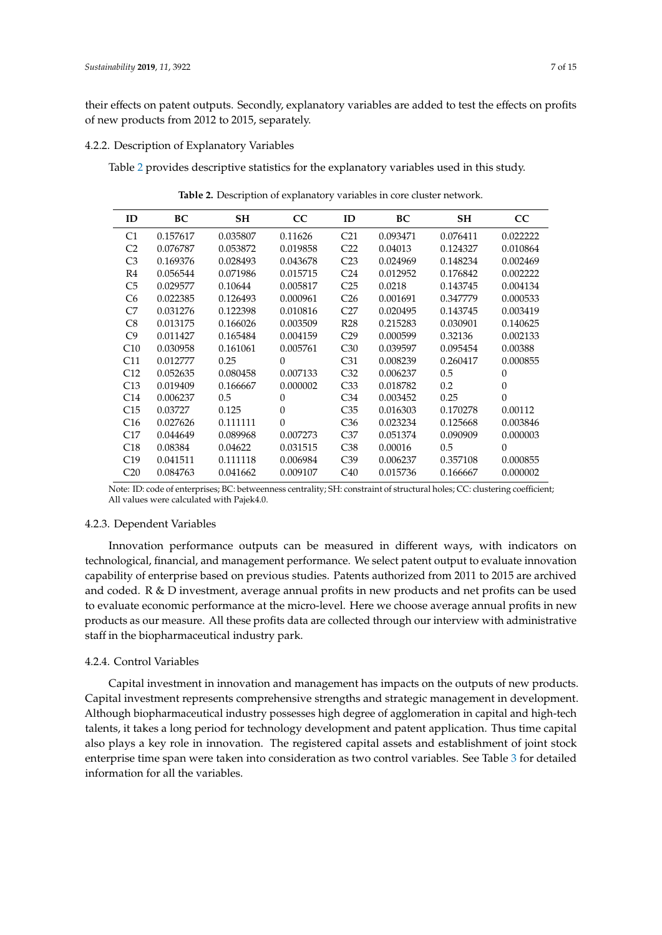their effects on patent outputs. Secondly, explanatory variables are added to test the effects on profits of new products from 2012 to 2015, separately.

#### 4.2.2. Description of Explanatory Variables

<span id="page-6-0"></span>Table [2](#page-6-0) provides descriptive statistics for the explanatory variables used in this study.

**ID BC SH CC ID BC SH CC** C1 0.157617 0.035807 0.11626 C21 0.093471 0.076411 0.022222 C2 0.076787 0.053872 0.019858 C22 0.04013 0.124327 0.010864 C3 0.169376 0.028493 0.043678 C23 0.024969 0.148234 0.002469 R4 0.056544 0.071986 0.015715 C24 0.012952 0.176842 0.002222 C5 0.029577 0.10644 0.005817 C25 0.0218 0.143745 0.004134 C6 0.022385 0.126493 0.000961 C26 0.001691 0.347779 0.000533 C7 0.031276 0.122398 0.010816 C27 0.020495 0.143745 0.003419 C8 0.013175 0.166026 0.003509 R28 0.215283 0.030901 0.140625 C9 0.011427 0.165484 0.004159 C29 0.000599 0.32136 0.002133 C10 0.030958 0.161061 0.005761 C30 0.039597 0.095454 0.00388 C11 0.012777 0.25 0 C31 0.008239 0.260417 0.000855 C12 0.052635 0.080458 0.007133 C32 0.006237 0.5 0 C13 0.019409 0.166667 0.000002 C33 0.018782 0.2 0 C14 0.006237 0.5 0 C34 0.003452 0.25 0 C15 0.03727 0.125 0 C35 0.016303 0.170278 0.00112 C16 0.027626 0.111111 0 C36 0.023234 0.125668 0.003846 C17 0.044649 0.089968 0.007273 C37 0.051374 0.090909 0.000003 C18 0.08384 0.04622 0.031515 C38 0.00016 0.5 0 C19 0.041511 0.111118 0.006984 C39 0.006237 0.357108 0.000855 C20 0.084763 0.041662 0.009107 C40 0.015736 0.166667 0.000002

**Table 2.** Description of explanatory variables in core cluster network.

Note: ID: code of enterprises; BC: betweenness centrality; SH: constraint of structural holes; CC: clustering coefficient; All values were calculated with Pajek4.0.

#### 4.2.3. Dependent Variables

Innovation performance outputs can be measured in different ways, with indicators on technological, financial, and management performance. We select patent output to evaluate innovation capability of enterprise based on previous studies. Patents authorized from 2011 to 2015 are archived and coded. R & D investment, average annual profits in new products and net profits can be used to evaluate economic performance at the micro-level. Here we choose average annual profits in new products as our measure. All these profits data are collected through our interview with administrative staff in the biopharmaceutical industry park.

#### 4.2.4. Control Variables

Capital investment in innovation and management has impacts on the outputs of new products. Capital investment represents comprehensive strengths and strategic management in development. Although biopharmaceutical industry possesses high degree of agglomeration in capital and high-tech talents, it takes a long period for technology development and patent application. Thus time capital also plays a key role in innovation. The registered capital assets and establishment of joint stock enterprise time span were taken into consideration as two control variables. See Table [3](#page-7-0) for detailed information for all the variables.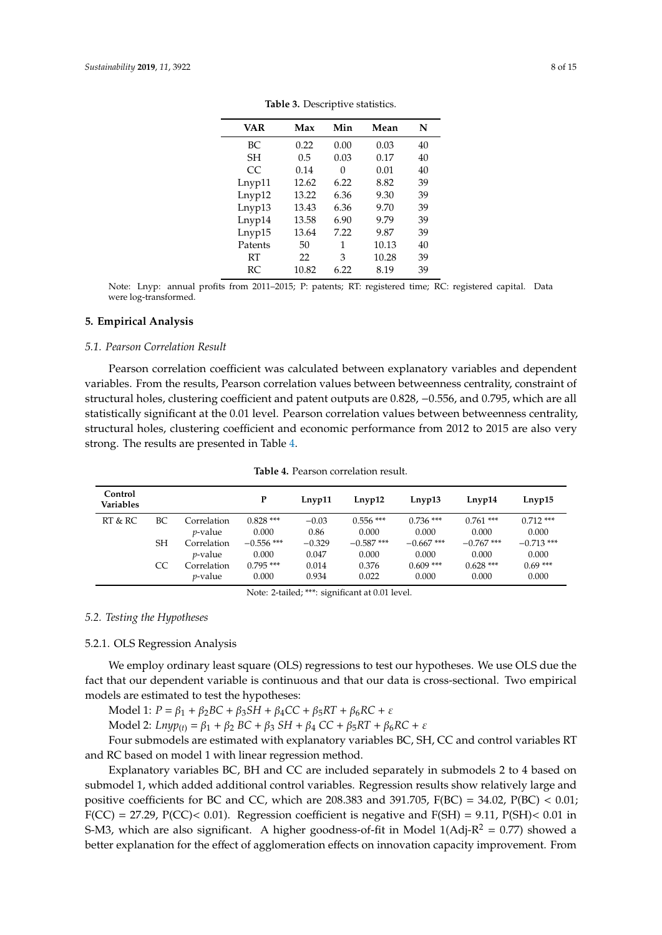<span id="page-7-0"></span>

| Max   | Min  | Mean  | N  |
|-------|------|-------|----|
| 0.22  | 0.00 | 0.03  | 40 |
| 0.5   | 0.03 | 0.17  | 40 |
| 0.14  | 0    | 0.01  | 40 |
| 12.62 | 6.22 | 8.82  | 39 |
| 13.22 | 6.36 | 9.30  | 39 |
| 13.43 | 6.36 | 9.70  | 39 |
| 13.58 | 6.90 | 9.79  | 39 |
| 13.64 | 7.22 | 9.87  | 39 |
| 50    | 1    | 10.13 | 40 |
| 22    | 3    | 10.28 | 39 |
| 10.82 | 6.22 | 8.19  | 39 |
|       |      |       |    |

**Table 3.** Descriptive statistics.

Note: Lnyp: annual profits from 2011–2015; P: patents; RT: registered time; RC: registered capital. Data were log-transformed.

#### **5. Empirical Analysis**

#### *5.1. Pearson Correlation Result*

Pearson correlation coefficient was calculated between explanatory variables and dependent variables. From the results, Pearson correlation values between betweenness centrality, constraint of structural holes, clustering coefficient and patent outputs are 0.828, −0.556, and 0.795, which are all statistically significant at the 0.01 level. Pearson correlation values between betweenness centrality, structural holes, clustering coefficient and economic performance from 2012 to 2015 are also very strong. The results are presented in Table [4.](#page-7-1)

<span id="page-7-1"></span>

| Control<br>Variables |           |                 | P            | Lnyp11   | Lnvp12       | Lnyp13       | Lnvp14       | Lnyp15       |
|----------------------|-----------|-----------------|--------------|----------|--------------|--------------|--------------|--------------|
| RT & RC              | ВC        | Correlation     | $0.828***$   | $-0.03$  | $0.556$ ***  | $0.736$ ***  | $0.761$ ***  | $0.712$ ***  |
|                      |           | <i>p</i> -value | 0.000        | 0.86     | 0.000        | 0.000        | 0.000        | 0.000        |
|                      | <b>SH</b> | Correlation     | $-0.556$ *** | $-0.329$ | $-0.587$ *** | $-0.667$ *** | $-0.767$ *** | $-0.713$ *** |
|                      |           | <i>p</i> -value | 0.000        | 0.047    | 0.000        | 0.000        | 0.000        | 0.000        |
|                      | <b>CC</b> | Correlation     | $0.795***$   | 0.014    | 0.376        | $0.609$ ***  | $0.628$ ***  | $0.69***$    |
|                      |           | <i>p</i> -value | 0.000        | 0.934    | 0.022        | 0.000        | 0.000        | 0.000        |

**Table 4.** Pearson correlation result.

Note: 2-tailed; \*\*\*: significant at 0.01 level.

#### *5.2. Testing the Hypotheses*

#### 5.2.1. OLS Regression Analysis

We employ ordinary least square (OLS) regressions to test our hypotheses. We use OLS due the fact that our dependent variable is continuous and that our data is cross-sectional. Two empirical models are estimated to test the hypotheses:

Model 1:  $P = \beta_1 + \beta_2 BC + \beta_3 SH + \beta_4 CC + \beta_5 RT + \beta_6 RC + ε$ 

 $Model 2: Lnyp_{(t)} = \beta_1 + \beta_2 BC + \beta_3 SH + \beta_4 CC + \beta_5 RT + \beta_6 RC + ε$ 

Four submodels are estimated with explanatory variables BC, SH, CC and control variables RT and RC based on model 1 with linear regression method.

Explanatory variables BC, BH and CC are included separately in submodels 2 to 4 based on submodel 1, which added additional control variables. Regression results show relatively large and positive coefficients for BC and CC, which are 208.383 and 391.705,  $F(BC) = 34.02$ ,  $P(BC) < 0.01$ ;  $F(CC) = 27.29$ ,  $P(CC) < 0.01$ ). Regression coefficient is negative and  $F(SH) = 9.11$ ,  $P(SH) < 0.01$  in S-M3, which are also significant. A higher goodness-of-fit in Model 1(Adj- $R^2 = 0.77$ ) showed a better explanation for the effect of agglomeration effects on innovation capacity improvement. From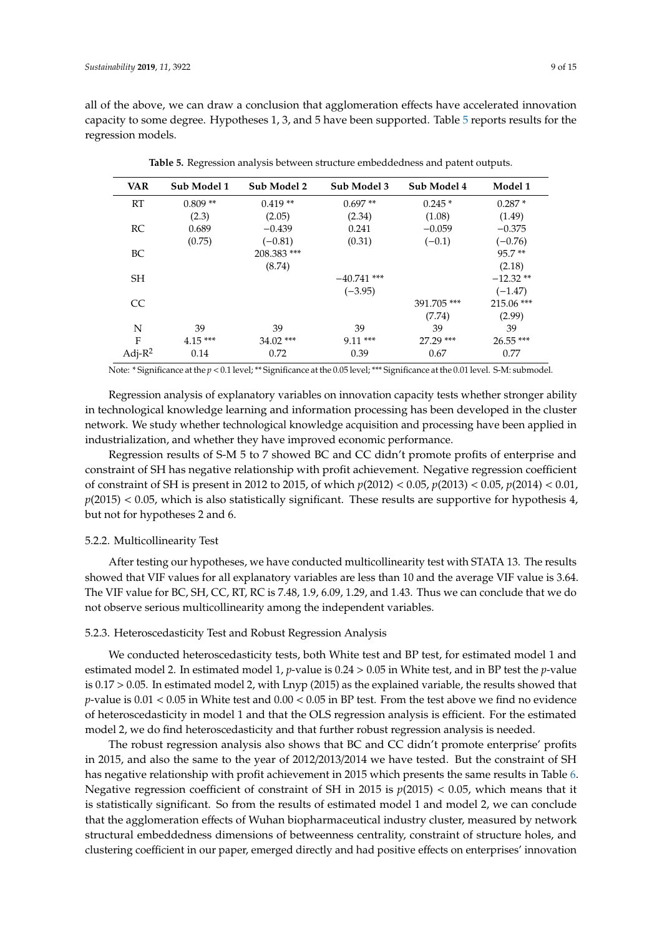all of the above, we can draw a conclusion that agglomeration effects have accelerated innovation capacity to some degree. Hypotheses 1, 3, and 5 have been supported. Table [5](#page-8-0) reports results for the regression models.

<span id="page-8-0"></span>

| <b>VAR</b> | Sub Model 1 | Sub Model 2 | Sub Model 3   | Sub Model 4 | Model 1      |
|------------|-------------|-------------|---------------|-------------|--------------|
| RT         | $0.809**$   | $0.419**$   | $0.697**$     | $0.245*$    | $0.287*$     |
|            | (2.3)       | (2.05)      | (2.34)        | (1.08)      | (1.49)       |
| <b>RC</b>  | 0.689       | $-0.439$    | 0.241         | $-0.059$    | $-0.375$     |
|            | (0.75)      | $(-0.81)$   | (0.31)        | $(-0.1)$    | $(-0.76)$    |
| BC         |             | 208.383 *** |               |             | $95.7**$     |
|            |             | (8.74)      |               |             | (2.18)       |
| <b>SH</b>  |             |             | $-40.741$ *** |             | $-12.32**$   |
|            |             |             | $(-3.95)$     |             | $(-1.47)$    |
| <b>CC</b>  |             |             |               | 391.705***  | $215.06$ *** |
|            |             |             |               | (7.74)      | (2.99)       |
| N          | 39          | 39          | 39            | 39          | 39           |
| F          | $4.15***$   | $34.02$ *** | $9.11***$     | $27.29$ *** | 26.55 ***    |
| Adj- $R^2$ | 0.14        | 0.72        | 0.39          | 0.67        | 0.77         |

**Table 5.** Regression analysis between structure embeddedness and patent outputs.

Note: \* Significance at the  $p < 0.1$  level; \*\* Significance at the 0.05 level; \*\*\* Significance at the 0.01 level. S-M: submodel.

Regression analysis of explanatory variables on innovation capacity tests whether stronger ability in technological knowledge learning and information processing has been developed in the cluster network. We study whether technological knowledge acquisition and processing have been applied in industrialization, and whether they have improved economic performance.

Regression results of S-M 5 to 7 showed BC and CC didn't promote profits of enterprise and constraint of SH has negative relationship with profit achievement. Negative regression coefficient of constraint of SH is present in 2012 to 2015, of which *p*(2012) < 0.05, *p*(2013) < 0.05, *p*(2014) < 0.01,  $p(2015) < 0.05$ , which is also statistically significant. These results are supportive for hypothesis 4, but not for hypotheses 2 and 6.

#### 5.2.2. Multicollinearity Test

After testing our hypotheses, we have conducted multicollinearity test with STATA 13. The results showed that VIF values for all explanatory variables are less than 10 and the average VIF value is 3.64. The VIF value for BC, SH, CC, RT, RC is 7.48, 1.9, 6.09, 1.29, and 1.43. Thus we can conclude that we do not observe serious multicollinearity among the independent variables.

#### 5.2.3. Heteroscedasticity Test and Robust Regression Analysis

We conducted heteroscedasticity tests, both White test and BP test, for estimated model 1 and estimated model 2. In estimated model 1, *p*-value is 0.24 > 0.05 in White test, and in BP test the *p*-value is 0.17 > 0.05. In estimated model 2, with Lnyp (2015) as the explained variable, the results showed that *p*-value is  $0.01 < 0.05$  in White test and  $0.00 < 0.05$  in BP test. From the test above we find no evidence of heteroscedasticity in model 1 and that the OLS regression analysis is efficient. For the estimated model 2, we do find heteroscedasticity and that further robust regression analysis is needed.

The robust regression analysis also shows that BC and CC didn't promote enterprise' profits in 2015, and also the same to the year of 2012/2013/2014 we have tested. But the constraint of SH has negative relationship with profit achievement in 2015 which presents the same results in Table [6.](#page-9-0) Negative regression coefficient of constraint of SH in 2015 is *p*(2015) < 0.05, which means that it is statistically significant. So from the results of estimated model 1 and model 2, we can conclude that the agglomeration effects of Wuhan biopharmaceutical industry cluster, measured by network structural embeddedness dimensions of betweenness centrality, constraint of structure holes, and clustering coefficient in our paper, emerged directly and had positive effects on enterprises' innovation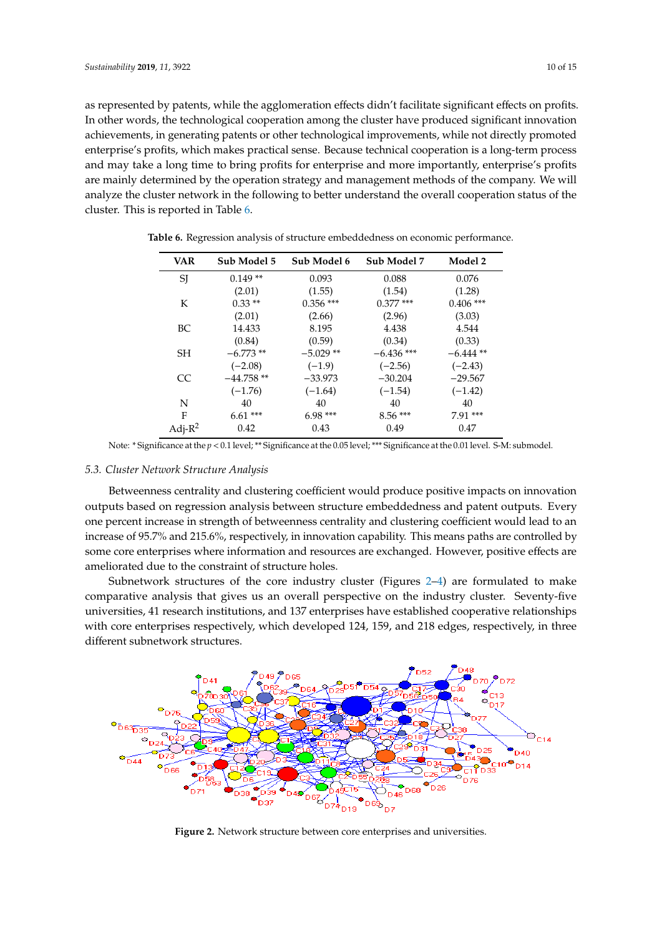as represented by patents, while the agglomeration effects didn't facilitate significant effects on profits. In other words, the technological cooperation among the cluster have produced significant innovation achievements, in generating patents or other technological improvements, while not directly promoted enterprise's profits, which makes practical sense. Because technical cooperation is a long-term process and may take a long time to bring profits for enterprise and more importantly, enterprise's profits are mainly determined by the operation strategy and management methods of the company. We will analyze the cluster network in the following to better understand the overall cooperation status of the cluster. This is reported in Table [6.](#page-9-0)  $\tt{R}$ effects on profits. In other words, the technological cooperation among the cluster have produced is represented by patents, while the aggiorheration enects didn't rachitate significant enects on profits.

<span id="page-9-0"></span>

| <b>VAR</b>    | Sub Model 5 | Sub Model 6 | Sub Model 7  | Model 2     |
|---------------|-------------|-------------|--------------|-------------|
| SJ            | $0.149**$   | 0.093       | 0.088        | 0.076       |
|               | (2.01)      | (1.55)      | (1.54)       | (1.28)      |
| K             | $0.33**$    | $0.356$ *** | $0.377$ ***  | $0.406$ *** |
|               | (2.01)      | (2.66)      | (2.96)       | (3.03)      |
| BC            | 14.433      | 8.195       | 4.438        | 4.544       |
|               | (0.84)      | (0.59)      | (0.34)       | (0.33)      |
| <b>SH</b>     | $-6.773**$  | $-5.029$ ** | $-6.436$ *** | $-6.444**$  |
|               | $(-2.08)$   | $(-1.9)$    | $(-2.56)$    | $(-2.43)$   |
| <sub>CC</sub> | $-44.758**$ | $-33.973$   | $-30.204$    | $-29.567$   |
|               | $(-1.76)$   | $(-1.64)$   | $(-1.54)$    | $(-1.42)$   |
| N             | 40          | 40          | 40           | 40          |
| F             | $6.61***$   | $6.98***$   | $8.56***$    | $7.91***$   |
| Adj- $R^2$    | 0.42        | 0.43        | 0.49         | 0.47        |

Table 6. Regression analysis of structure embeddedness on economic performance.

Note: \*Significance at the *p* < 0.1 level; \*\*Significance at the 0.05 level; \*\*\*Significance at the 0.01 level. S-M: submodel.

## *5.3. Cluster Network Structure Analysis 5.3. Cluster Network Structure Analysis*

Betweenness centrality and clustering coefficient would produce positive impacts on innovation Betweenness centrality and clustering coefficient would produce positive impacts on outputs based on regression analysis between structure embeddedness and patent outputs. Every one percent increase in strength of betweenness centrality and clustering coefficient would lead to an increase of 95.7% and 215.6%, respectively, in innovation capability. This means paths are controlled by some core enterprises where information and resources are exchanged. However, positive effects are ameliorated due to the constraint of structure holes.

Subnetwork structures of the core industry cluster (Figures 2[–4\)](#page-10-0) are formulated to make Subnetwork structures of the core industry cluster (Figures [2](#page-9-1)–4) are formulated to make comparative analysis that gives us an overall perspective on the industry cluster. Seventy-five comparative analysis that gives us an overall perspective on the industry cluster. Seventy-five universities, 41 research institutions, and 137 enterprises have established cooperative relationships universities, 41 research institutions, and 137 enterprises have established cooperative relationships with core enterprises respectively, which developed 124, 159, and 218 edges, respectively, in three with core enterprises respectively, which developed 124, 159, and 218 edges, respectively, in three different subnetwork structures. different subnetwork structures.

<span id="page-9-1"></span>

**Figure 2.** Network structure between core enterprises and universities.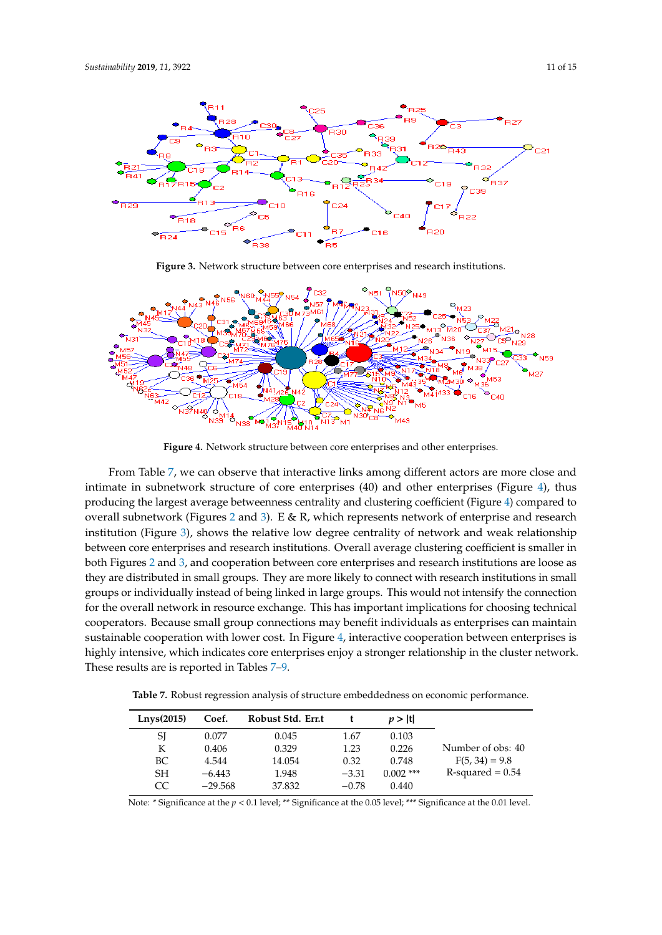<span id="page-10-2"></span>

Figure 3. Network structure between core enterprises and research institutions.

<span id="page-10-0"></span>

**Figure 4.** Network structure between core enterprises and other enterprises. **Figure 4.** Network structure between core enterprises and other enterprises.

intimate in subnetwork structure of core enterprises (40) and other enterprises (Figure 4), thus producing the largest average betweenness centrality and clustering coefficient ([Fi](#page-10-0)gure 4) compared to  $\alpha$  overall subnetwork (Figures 2 and 3). E & R, which represents network of enterprise and research institution (Figure 3), shows the relative low degree centrality of netw[or](#page-10-2)k and weak relationship between core enterprises and research institutions. Overall average clustering coefficient is smaller in both Figures 2 and 3, and cooperation between cor[e e](#page-9-1)nte[rp](#page-10-2)rises and research institutions are loose as they are distributed in small groups. They are more likely to connect with research institutions in small groups or individually instead of being linked in large groups. This would not intensify the connection for the overall network in resource exchange. This has important implications for choosing technical cooperators. Because small group connections may benefit individuals as enterprises can maintain sustainable cooperation with lower cost. In Figure 4, interactive cooperation between enterprises is enterprises to peration with lower cost. In Figure 4, interactive cooperation between enterprises is<br>highly intensive, which indicates core enterprises enjoy a stronger relationship in the cluster network. These results are is reported in Tables 7–9. highly intensive, which indicates core enterprises enjoy a stronger relationship in the cluster network.<br>The cluster network in the state of the state of the state of the cluster of the cluster network. From Table [7,](#page-10-1) we can observe that interactive links among different actors are more close and

**Table 7.** Robust regression analysis of structure embeddedness on economic performance. **Table 7.** Robust regression analysis of structure embeddedness on economic performance.

<span id="page-10-1"></span>

| Lnys(2015)    | Coef.     | Robust Std. Err.t |         | p >  t      |                       |
|---------------|-----------|-------------------|---------|-------------|-----------------------|
| SI            | 0.077     | 0.045             | 1.67    | 0.103       |                       |
| K             | 0.406     | 0.329             | 1.23    | 0.226       | Number of obs: 40     |
| BC            | 4.544     | 14.054            | 0.32    | 0.748       | $F(5, 34) = 9.8$      |
| SH            | $-6.443$  | 1.948             | $-3.31$ | $0.002$ *** | $R$ -squared = $0.54$ |
| <sub>CC</sub> | $-29.568$ | 37.832            | $-0.78$ | 0.440       |                       |

 $\frac{C}{\text{Note: } }$  \* Significance at the  $n < 0.1$  level: \*\* Significance at the 0.05 level: \*\* Sign Note: \* Significance at the  $p < 0.1$  level; \*\* Significance at the 0.05 level; \*\*\* Significance at the 0.01 level.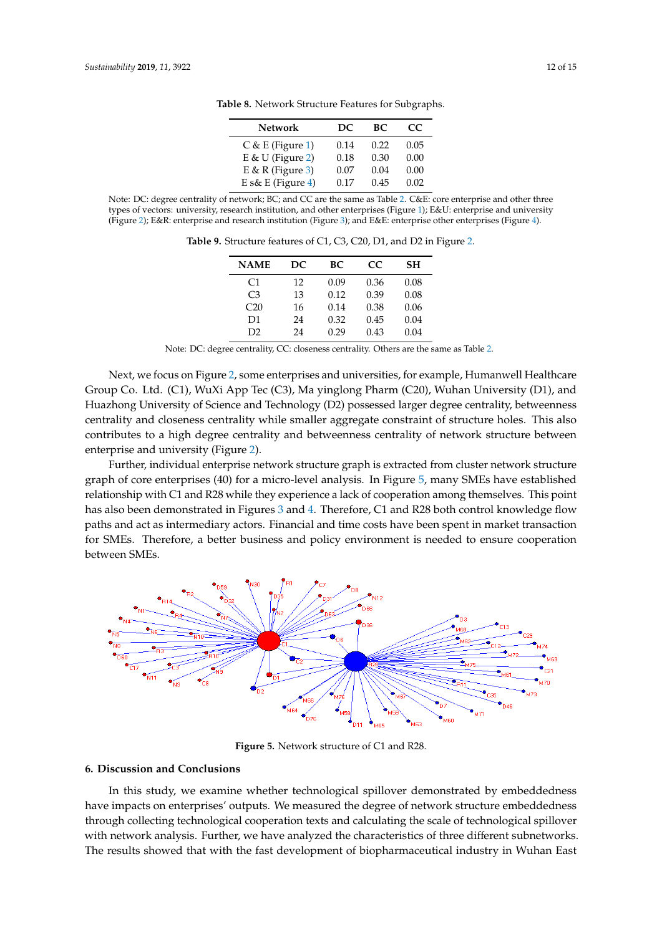| <b>Network</b>               | DC.  | BC   | CC.  |
|------------------------------|------|------|------|
| $C & E$ (Figure 1) 0.14 0.22 |      |      | 0.05 |
| E & U (Figure 2) $0.18$      |      | 0.30 | 0.00 |
| E & R (Figure 3)             | 0.07 | 0.04 | 0.00 |
| E s& E (Figure 4) $0.17$     |      | 0.45 | 0.02 |

**Table 8.** Network Structure Features for Subgraphs.

<span id="page-11-0"></span>Note: DC: degree centrality of network; BC; and CC are the same as Table 2. C&E: core enterprise and other three types of vectors: university, research institution, and other enterprises (Figure [1\)](#page-5-1); E&U: enterprise and university (Figure [2\)](#page-9-1); E&R: enterprise and research institution (Figure [3\)](#page-10-2); and E&E: enterprise other enterprises (Figure [4\)](#page-10-0).

**Table 9.** Structure features of C1, C3, C20, D1, and D2 in Figure 2. **Table 9.** Structure features of C1, C3, C20, D1, and D2 in Figur[e 2](#page-9-1).

| <b>NAME</b>     | DC | BC   | CC   | <b>SH</b> |
|-----------------|----|------|------|-----------|
| C <sub>1</sub>  | 12 | 0.09 | 0.36 | 0.08      |
| C <sub>3</sub>  | 13 | 0.12 | 0.39 | 0.08      |
| C <sub>20</sub> | 16 | 0.14 | 0.38 | 0.06      |
| D1              | 24 | 0.32 | 0.45 | 0.04      |
| D2              | 24 | 0.29 | 0.43 | 0.04      |

Note: DC: degree centrality, CC: closeness centrality. Others are the same as Table [2.](#page-6-0) Note: DC: degree centrality, CC: closeness centrality. Others are the same as Table 2.

Next, we focus on Fi[gu](#page-9-1)re 2, some enterprises and universities, for example, Humanwell Healthcare Group Co. Ltd. (C1), WuXi App Tec (C3), Ma yinglong Pharm (C20), Wuhan University (D1), and Huazhong University of Science and Technology (D2) possessed larger degree centrality, betweenness centrality and closeness centrality while smaller aggregate constraint of structure holes. This also contributes to a high degree centrality and betweenness centrality of network structure between enterprise and universi[ty](#page-9-1) (Figure 2).

Further, individual enterprise network structure graph is extracted from cluster network structure Further, individual enterprise network structure graph is extracted from cluster network graph of core enterprises (40) for a micro-level analysi[s.](#page-11-1) In Figure 5, many SMEs have established relationship with C1 and R28 while they experience a lack of cooperation among themselves. This point has also been [dem](#page-10-2)on[st](#page-10-0)rated in Figures 3 and 4. Therefore, C1 and R28 both control knowledge flow paths and act as intermediary actors. Financial and time costs have been spent in market transaction for SMEs. Therefore, a better business and policy environment is needed to ensure cooperation between SMEs.

<span id="page-11-1"></span>

**Figure 5.** Network structure of C1 and R28. **Figure 5.** Network structure of C1 and R28.

# **6. Discussion and Conclusions 6. Discussion and Conclusions**

In this study, we examine whether technological spillover demonstrated by embeddedness In this study, we examine whether technological spillover demonstrated by embeddedness have impacts on enterprises' outputs. We measured the degree of network structure embeddedness have impacts on enterprises' outputs. We measured the degree of network structure embeddedness through collecting technological cooperation texts and calculating the scale of technological spillover through collecting technological cooperation texts and calculating the scale of technological spillover with network analysis. Further, we have analyzed the characteristics of three different subnetworks. with network analysis. Further, we have analyzed the characteristics of three different subnetworks. The results showed that with the fast development of biopharmaceutical industry in Wuhan East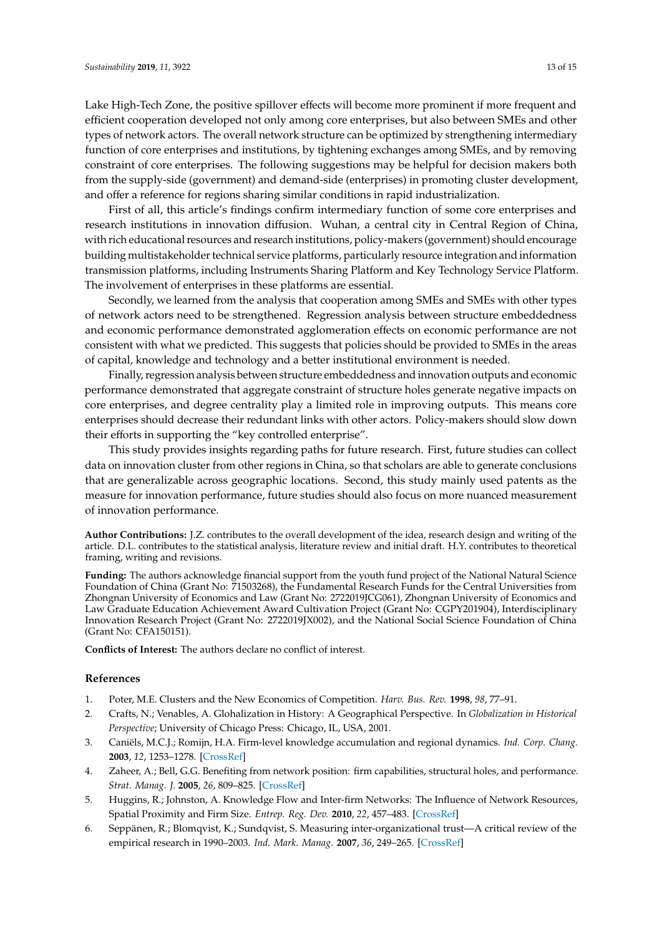Lake High-Tech Zone, the positive spillover effects will become more prominent if more frequent and efficient cooperation developed not only among core enterprises, but also between SMEs and other types of network actors. The overall network structure can be optimized by strengthening intermediary function of core enterprises and institutions, by tightening exchanges among SMEs, and by removing constraint of core enterprises. The following suggestions may be helpful for decision makers both from the supply-side (government) and demand-side (enterprises) in promoting cluster development, and offer a reference for regions sharing similar conditions in rapid industrialization.

First of all, this article's findings confirm intermediary function of some core enterprises and research institutions in innovation diffusion. Wuhan, a central city in Central Region of China, with rich educational resources and research institutions, policy-makers (government) should encourage building multistakeholder technical service platforms, particularly resource integration and information transmission platforms, including Instruments Sharing Platform and Key Technology Service Platform. The involvement of enterprises in these platforms are essential.

Secondly, we learned from the analysis that cooperation among SMEs and SMEs with other types of network actors need to be strengthened. Regression analysis between structure embeddedness and economic performance demonstrated agglomeration effects on economic performance are not consistent with what we predicted. This suggests that policies should be provided to SMEs in the areas of capital, knowledge and technology and a better institutional environment is needed.

Finally, regression analysis between structure embeddedness and innovation outputs and economic performance demonstrated that aggregate constraint of structure holes generate negative impacts on core enterprises, and degree centrality play a limited role in improving outputs. This means core enterprises should decrease their redundant links with other actors. Policy-makers should slow down their efforts in supporting the "key controlled enterprise".

This study provides insights regarding paths for future research. First, future studies can collect data on innovation cluster from other regions in China, so that scholars are able to generate conclusions that are generalizable across geographic locations. Second, this study mainly used patents as the measure for innovation performance, future studies should also focus on more nuanced measurement of innovation performance.

**Author Contributions:** J.Z. contributes to the overall development of the idea, research design and writing of the article. D.L. contributes to the statistical analysis, literature review and initial draft. H.Y. contributes to theoretical framing, writing and revisions.

**Funding:** The authors acknowledge financial support from the youth fund project of the National Natural Science Foundation of China (Grant No: 71503268), the Fundamental Research Funds for the Central Universities from Zhongnan University of Economics and Law (Grant No: 2722019JCG061), Zhongnan University of Economics and Law Graduate Education Achievement Award Cultivation Project (Grant No: CGPY201904), Interdisciplinary Innovation Research Project (Grant No: 2722019JX002), and the National Social Science Foundation of China (Grant No: CFA150151).

**Conflicts of Interest:** The authors declare no conflict of interest.

#### **References**

- <span id="page-12-0"></span>1. Poter, M.E. Clusters and the New Economics of Competition. *Harv. Bus. Rev.* **1998**, *98*, 77–91.
- <span id="page-12-1"></span>2. Crafts, N.; Venables, A. Glohalization in History: A Geographical Perspective. In *Globalization in Historical Perspective*; University of Chicago Press: Chicago, IL, USA, 2001.
- <span id="page-12-2"></span>3. Caniëls, M.C.J.; Romijn, H.A. Firm-level knowledge accumulation and regional dynamics. *Ind. Corp. Chang.* **2003**, *12*, 1253–1278. [\[CrossRef\]](http://dx.doi.org/10.1093/icc/12.6.1253)
- <span id="page-12-3"></span>4. Zaheer, A.; Bell, G.G. Benefiting from network position: firm capabilities, structural holes, and performance. *Strat. Manag. J.* **2005**, *26*, 809–825. [\[CrossRef\]](http://dx.doi.org/10.1002/smj.482)
- <span id="page-12-4"></span>5. Huggins, R.; Johnston, A. Knowledge Flow and Inter-firm Networks: The Influence of Network Resources, Spatial Proximity and Firm Size. *Entrep. Reg. Dev.* **2010**, *22*, 457–483. [\[CrossRef\]](http://dx.doi.org/10.1080/08985620903171350)
- 6. Seppänen, R.; Blomqvist, K.; Sundqvist, S. Measuring inter-organizational trust—A critical review of the empirical research in 1990–2003. *Ind. Mark. Manag.* **2007**, *36*, 249–265. [\[CrossRef\]](http://dx.doi.org/10.1016/j.indmarman.2005.09.003)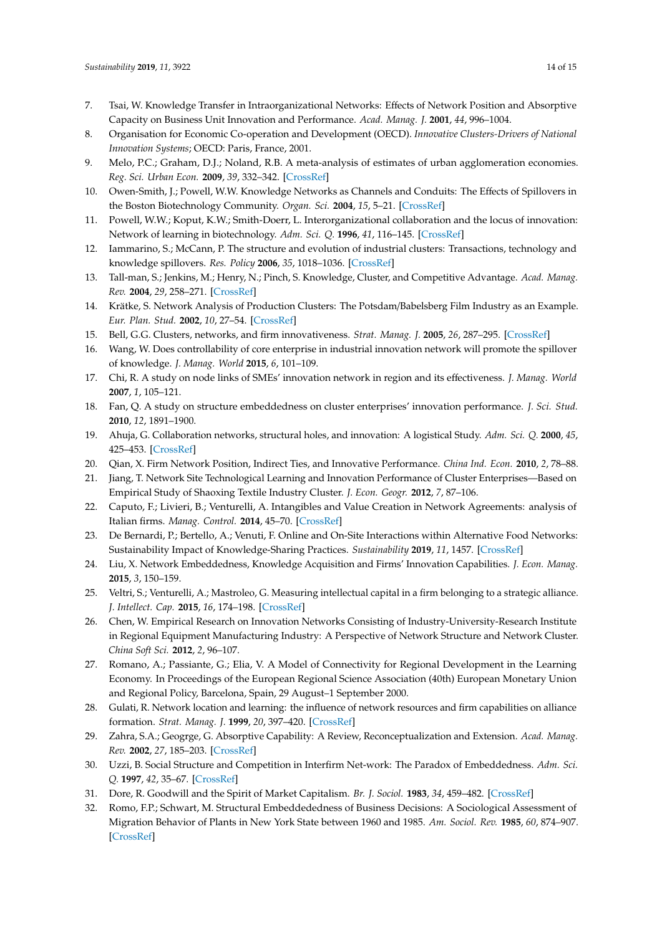- <span id="page-13-0"></span>7. Tsai, W. Knowledge Transfer in Intraorganizational Networks: Effects of Network Position and Absorptive Capacity on Business Unit Innovation and Performance. *Acad. Manag. J.* **2001**, *44*, 996–1004.
- <span id="page-13-1"></span>8. Organisation for Economic Co-operation and Development (OECD). *Innovative Clusters-Drivers of National Innovation Systems*; OECD: Paris, France, 2001.
- <span id="page-13-2"></span>9. Melo, P.C.; Graham, D.J.; Noland, R.B. A meta-analysis of estimates of urban agglomeration economies. *Reg. Sci. Urban Econ.* **2009**, *39*, 332–342. [\[CrossRef\]](http://dx.doi.org/10.1016/j.regsciurbeco.2008.12.002)
- <span id="page-13-3"></span>10. Owen-Smith, J.; Powell, W.W. Knowledge Networks as Channels and Conduits: The Effects of Spillovers in the Boston Biotechnology Community. *Organ. Sci.* **2004**, *15*, 5–21. [\[CrossRef\]](http://dx.doi.org/10.1287/orsc.1030.0054)
- <span id="page-13-4"></span>11. Powell, W.W.; Koput, K.W.; Smith-Doerr, L. Interorganizational collaboration and the locus of innovation: Network of learning in biotechnology. *Adm. Sci. Q.* **1996**, *41*, 116–145. [\[CrossRef\]](http://dx.doi.org/10.2307/2393988)
- <span id="page-13-5"></span>12. Iammarino, S.; McCann, P. The structure and evolution of industrial clusters: Transactions, technology and knowledge spillovers. *Res. Policy* **2006**, *35*, 1018–1036. [\[CrossRef\]](http://dx.doi.org/10.1016/j.respol.2006.05.004)
- <span id="page-13-6"></span>13. Tall-man, S.; Jenkins, M.; Henry, N.; Pinch, S. Knowledge, Cluster, and Competitive Advantage. *Acad. Manag. Rev.* **2004**, *29*, 258–271. [\[CrossRef\]](http://dx.doi.org/10.5465/amr.2004.12736089)
- <span id="page-13-7"></span>14. Krätke, S. Network Analysis of Production Clusters: The Potsdam/Babelsberg Film Industry as an Example. *Eur. Plan. Stud.* **2002**, *10*, 27–54. [\[CrossRef\]](http://dx.doi.org/10.1080/09654310120099254)
- <span id="page-13-8"></span>15. Bell, G.G. Clusters, networks, and firm innovativeness. *Strat. Manag. J.* **2005**, *26*, 287–295. [\[CrossRef\]](http://dx.doi.org/10.1002/smj.448)
- <span id="page-13-9"></span>16. Wang, W. Does controllability of core enterprise in industrial innovation network will promote the spillover of knowledge. *J. Manag. World* **2015**, *6*, 101–109.
- <span id="page-13-10"></span>17. Chi, R. A study on node links of SMEs' innovation network in region and its effectiveness. *J. Manag. World* **2007**, *1*, 105–121.
- 18. Fan, Q. A study on structure embeddedness on cluster enterprises' innovation performance. *J. Sci. Stud.* **2010**, *12*, 1891–1900.
- <span id="page-13-11"></span>19. Ahuja, G. Collaboration networks, structural holes, and innovation: A logistical Study. *Adm. Sci. Q.* **2000**, *45*, 425–453. [\[CrossRef\]](http://dx.doi.org/10.2307/2667105)
- <span id="page-13-12"></span>20. Qian, X. Firm Network Position, Indirect Ties, and Innovative Performance. *China Ind. Econ.* **2010**, *2*, 78–88.
- <span id="page-13-13"></span>21. Jiang, T. Network Site Technological Learning and Innovation Performance of Cluster Enterprises—Based on Empirical Study of Shaoxing Textile Industry Cluster. *J. Econ. Geogr.* **2012**, *7*, 87–106.
- <span id="page-13-14"></span>22. Caputo, F.; Livieri, B.; Venturelli, A. Intangibles and Value Creation in Network Agreements: analysis of Italian firms. *Manag. Control.* **2014**, 45–70. [\[CrossRef\]](http://dx.doi.org/10.3280/MACO2014-002003)
- 23. De Bernardi, P.; Bertello, A.; Venuti, F. Online and On-Site Interactions within Alternative Food Networks: Sustainability Impact of Knowledge-Sharing Practices. *Sustainability* **2019**, *11*, 1457. [\[CrossRef\]](http://dx.doi.org/10.3390/su11051457)
- 24. Liu, X. Network Embeddedness, Knowledge Acquisition and Firms' Innovation Capabilities. *J. Econ. Manag.* **2015**, *3*, 150–159.
- <span id="page-13-15"></span>25. Veltri, S.; Venturelli, A.; Mastroleo, G. Measuring intellectual capital in a firm belonging to a strategic alliance. *J. Intellect. Cap.* **2015**, *16*, 174–198. [\[CrossRef\]](http://dx.doi.org/10.1108/JIC-06-2014-0069)
- <span id="page-13-16"></span>26. Chen, W. Empirical Research on Innovation Networks Consisting of Industry-University-Research Institute in Regional Equipment Manufacturing Industry: A Perspective of Network Structure and Network Cluster. *China Soft Sci.* **2012**, *2*, 96–107.
- <span id="page-13-17"></span>27. Romano, A.; Passiante, G.; Elia, V. A Model of Connectivity for Regional Development in the Learning Economy. In Proceedings of the European Regional Science Association (40th) European Monetary Union and Regional Policy, Barcelona, Spain, 29 August–1 September 2000.
- <span id="page-13-18"></span>28. Gulati, R. Network location and learning: the influence of network resources and firm capabilities on alliance formation. *Strat. Manag. J.* **1999**, *20*, 397–420. [\[CrossRef\]](http://dx.doi.org/10.1002/(SICI)1097-0266(199905)20:5<397::AID-SMJ35>3.0.CO;2-K)
- <span id="page-13-19"></span>29. Zahra, S.A.; Geogrge, G. Absorptive Capability: A Review, Reconceptualization and Extension. *Acad. Manag. Rev.* **2002**, *27*, 185–203. [\[CrossRef\]](http://dx.doi.org/10.5465/amr.2002.6587995)
- <span id="page-13-20"></span>30. Uzzi, B. Social Structure and Competition in Interfirm Net-work: The Paradox of Embeddedness. *Adm. Sci. Q.* **1997**, *42*, 35–67. [\[CrossRef\]](http://dx.doi.org/10.2307/2393808)
- <span id="page-13-21"></span>31. Dore, R. Goodwill and the Spirit of Market Capitalism. *Br. J. Sociol.* **1983**, *34*, 459–482. [\[CrossRef\]](http://dx.doi.org/10.2307/590932)
- <span id="page-13-22"></span>32. Romo, F.P.; Schwart, M. Structural Embeddededness of Business Decisions: A Sociological Assessment of Migration Behavior of Plants in New York State between 1960 and 1985. *Am. Sociol. Rev.* **1985**, *60*, 874–907. [\[CrossRef\]](http://dx.doi.org/10.2307/2096431)